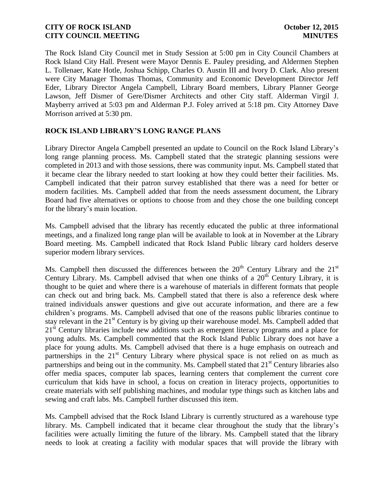The Rock Island City Council met in Study Session at 5:00 pm in City Council Chambers at Rock Island City Hall. Present were Mayor Dennis E. Pauley presiding, and Aldermen Stephen L. Tollenaer, Kate Hotle, Joshua Schipp, Charles O. Austin III and Ivory D. Clark. Also present were City Manager Thomas Thomas, Community and Economic Development Director Jeff Eder, Library Director Angela Campbell, Library Board members, Library Planner George Lawson, Jeff Dismer of Gere/Dismer Architects and other City staff. Alderman Virgil J. Mayberry arrived at 5:03 pm and Alderman P.J. Foley arrived at 5:18 pm. City Attorney Dave Morrison arrived at 5:30 pm.

# **ROCK ISLAND LIBRARY'S LONG RANGE PLANS**

Library Director Angela Campbell presented an update to Council on the Rock Island Library's long range planning process. Ms. Campbell stated that the strategic planning sessions were completed in 2013 and with those sessions, there was community input. Ms. Campbell stated that it became clear the library needed to start looking at how they could better their facilities. Ms. Campbell indicated that their patron survey established that there was a need for better or modern facilities. Ms. Campbell added that from the needs assessment document, the Library Board had five alternatives or options to choose from and they chose the one building concept for the library's main location.

Ms. Campbell advised that the library has recently educated the public at three informational meetings, and a finalized long range plan will be available to look at in November at the Library Board meeting. Ms. Campbell indicated that Rock Island Public library card holders deserve superior modern library services.

Ms. Campbell then discussed the differences between the  $20<sup>th</sup>$  Century Library and the  $21<sup>st</sup>$ Century Library. Ms. Campbell advised that when one thinks of a  $20<sup>th</sup>$  Century Library, it is thought to be quiet and where there is a warehouse of materials in different formats that people can check out and bring back. Ms. Campbell stated that there is also a reference desk where trained individuals answer questions and give out accurate information, and there are a few children's programs. Ms. Campbell advised that one of the reasons public libraries continue to stay relevant in the  $21<sup>st</sup>$  Century is by giving up their warehouse model. Ms. Campbell added that 21<sup>st</sup> Century libraries include new additions such as emergent literacy programs and a place for young adults. Ms. Campbell commented that the Rock Island Public Library does not have a place for young adults. Ms. Campbell advised that there is a huge emphasis on outreach and partnerships in the  $21<sup>st</sup>$  Century Library where physical space is not relied on as much as partnerships and being out in the community. Ms. Campbell stated that  $21<sup>st</sup>$  Century libraries also offer media spaces, computer lab spaces, learning centers that complement the current core curriculum that kids have in school, a focus on creation in literacy projects, opportunities to create materials with self publishing machines, and modular type things such as kitchen labs and sewing and craft labs. Ms. Campbell further discussed this item.

Ms. Campbell advised that the Rock Island Library is currently structured as a warehouse type library. Ms. Campbell indicated that it became clear throughout the study that the library's facilities were actually limiting the future of the library. Ms. Campbell stated that the library needs to look at creating a facility with modular spaces that will provide the library with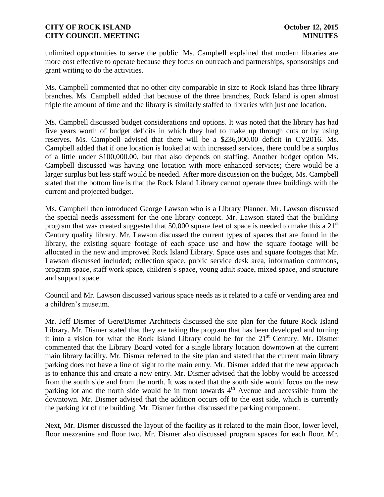unlimited opportunities to serve the public. Ms. Campbell explained that modern libraries are more cost effective to operate because they focus on outreach and partnerships, sponsorships and grant writing to do the activities.

Ms. Campbell commented that no other city comparable in size to Rock Island has three library branches. Ms. Campbell added that because of the three branches, Rock Island is open almost triple the amount of time and the library is similarly staffed to libraries with just one location.

Ms. Campbell discussed budget considerations and options. It was noted that the library has had five years worth of budget deficits in which they had to make up through cuts or by using reserves. Ms. Campbell advised that there will be a \$236,000.00 deficit in CY2016. Ms. Campbell added that if one location is looked at with increased services, there could be a surplus of a little under \$100,000.00, but that also depends on staffing. Another budget option Ms. Campbell discussed was having one location with more enhanced services; there would be a larger surplus but less staff would be needed. After more discussion on the budget, Ms. Campbell stated that the bottom line is that the Rock Island Library cannot operate three buildings with the current and projected budget.

Ms. Campbell then introduced George Lawson who is a Library Planner. Mr. Lawson discussed the special needs assessment for the one library concept. Mr. Lawson stated that the building program that was created suggested that  $50,000$  square feet of space is needed to make this a  $21<sup>st</sup>$ Century quality library. Mr. Lawson discussed the current types of spaces that are found in the library, the existing square footage of each space use and how the square footage will be allocated in the new and improved Rock Island Library. Space uses and square footages that Mr. Lawson discussed included; collection space, public service desk area, information commons, program space, staff work space, children's space, young adult space, mixed space, and structure and support space.

Council and Mr. Lawson discussed various space needs as it related to a café or vending area and a children's museum.

Mr. Jeff Dismer of Gere/Dismer Architects discussed the site plan for the future Rock Island Library. Mr. Dismer stated that they are taking the program that has been developed and turning it into a vision for what the Rock Island Library could be for the  $21<sup>st</sup>$  Century. Mr. Dismer commented that the Library Board voted for a single library location downtown at the current main library facility. Mr. Dismer referred to the site plan and stated that the current main library parking does not have a line of sight to the main entry. Mr. Dismer added that the new approach is to enhance this and create a new entry. Mr. Dismer advised that the lobby would be accessed from the south side and from the north. It was noted that the south side would focus on the new parking lot and the north side would be in front towards  $4<sup>th</sup>$  Avenue and accessible from the downtown. Mr. Dismer advised that the addition occurs off to the east side, which is currently the parking lot of the building. Mr. Dismer further discussed the parking component.

Next, Mr. Dismer discussed the layout of the facility as it related to the main floor, lower level, floor mezzanine and floor two. Mr. Dismer also discussed program spaces for each floor. Mr.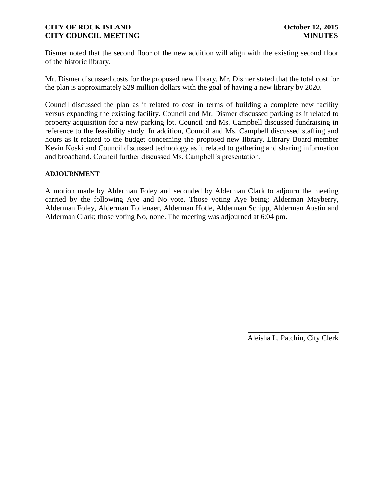Dismer noted that the second floor of the new addition will align with the existing second floor of the historic library.

Mr. Dismer discussed costs for the proposed new library. Mr. Dismer stated that the total cost for the plan is approximately \$29 million dollars with the goal of having a new library by 2020.

Council discussed the plan as it related to cost in terms of building a complete new facility versus expanding the existing facility. Council and Mr. Dismer discussed parking as it related to property acquisition for a new parking lot. Council and Ms. Campbell discussed fundraising in reference to the feasibility study. In addition, Council and Ms. Campbell discussed staffing and hours as it related to the budget concerning the proposed new library. Library Board member Kevin Koski and Council discussed technology as it related to gathering and sharing information and broadband. Council further discussed Ms. Campbell's presentation.

#### **ADJOURNMENT**

A motion made by Alderman Foley and seconded by Alderman Clark to adjourn the meeting carried by the following Aye and No vote. Those voting Aye being; Alderman Mayberry, Alderman Foley, Alderman Tollenaer, Alderman Hotle, Alderman Schipp, Alderman Austin and Alderman Clark; those voting No, none. The meeting was adjourned at 6:04 pm.

> \_\_\_\_\_\_\_\_\_\_\_\_\_\_\_\_\_\_\_\_\_\_\_\_ Aleisha L. Patchin, City Clerk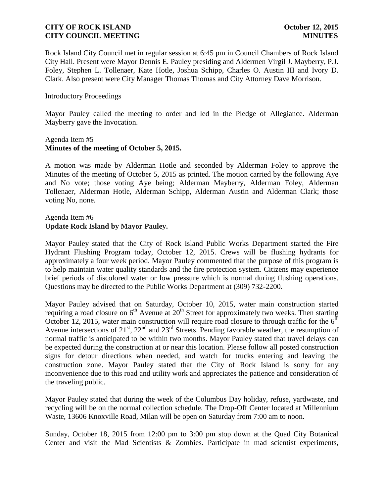Rock Island City Council met in regular session at 6:45 pm in Council Chambers of Rock Island City Hall. Present were Mayor Dennis E. Pauley presiding and Aldermen Virgil J. Mayberry, P.J. Foley, Stephen L. Tollenaer, Kate Hotle, Joshua Schipp, Charles O. Austin III and Ivory D. Clark. Also present were City Manager Thomas Thomas and City Attorney Dave Morrison.

#### Introductory Proceedings

Mayor Pauley called the meeting to order and led in the Pledge of Allegiance. Alderman Mayberry gave the Invocation.

#### Agenda Item #5 **Minutes of the meeting of October 5, 2015.**

A motion was made by Alderman Hotle and seconded by Alderman Foley to approve the Minutes of the meeting of October 5, 2015 as printed. The motion carried by the following Aye and No vote; those voting Aye being; Alderman Mayberry, Alderman Foley, Alderman Tollenaer, Alderman Hotle, Alderman Schipp, Alderman Austin and Alderman Clark; those voting No, none.

### Agenda Item #6 **Update Rock Island by Mayor Pauley.**

Mayor Pauley stated that the City of Rock Island Public Works Department started the Fire Hydrant Flushing Program today, October 12, 2015. Crews will be flushing hydrants for approximately a four week period. Mayor Pauley commented that the purpose of this program is to help maintain water quality standards and the fire protection system. Citizens may experience brief periods of discolored water or low pressure which is normal during flushing operations. Questions may be directed to the Public Works Department at (309) 732-2200.

Mayor Pauley advised that on Saturday, October 10, 2015, water main construction started requiring a road closure on  $6<sup>th</sup>$  Avenue at  $20<sup>th</sup>$  Street for approximately two weeks. Then starting October 12, 2015, water main construction will require road closure to through traffic for the  $6<sup>th</sup>$ Avenue intersections of  $21<sup>st</sup>$ ,  $22<sup>nd</sup>$  and  $23<sup>rd</sup>$  Streets. Pending favorable weather, the resumption of normal traffic is anticipated to be within two months. Mayor Pauley stated that travel delays can be expected during the construction at or near this location. Please follow all posted construction signs for detour directions when needed, and watch for trucks entering and leaving the construction zone. Mayor Pauley stated that the City of Rock Island is sorry for any inconvenience due to this road and utility work and appreciates the patience and consideration of the traveling public.

Mayor Pauley stated that during the week of the Columbus Day holiday, refuse, yardwaste, and recycling will be on the normal collection schedule. The Drop-Off Center located at Millennium Waste, 13606 Knoxville Road, Milan will be open on Saturday from 7:00 am to noon.

Sunday, October 18, 2015 from 12:00 pm to 3:00 pm stop down at the Quad City Botanical Center and visit the Mad Scientists & Zombies. Participate in mad scientist experiments,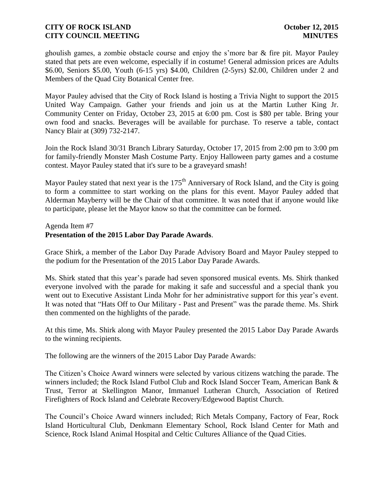ghoulish games, a zombie obstacle course and enjoy the s'more bar & fire pit. Mayor Pauley stated that pets are even welcome, especially if in costume! General admission prices are Adults \$6.00, Seniors \$5.00, Youth (6-15 yrs) \$4.00, Children (2-5yrs) \$2.00, Children under 2 and Members of the Quad City Botanical Center free.

Mayor Pauley advised that the City of Rock Island is hosting a Trivia Night to support the 2015 United Way Campaign. Gather your friends and join us at the Martin Luther King Jr. Community Center on Friday, October 23, 2015 at 6:00 pm. Cost is \$80 per table. Bring your own food and snacks. Beverages will be available for purchase. To reserve a table, contact Nancy Blair at (309) 732-2147.

Join the Rock Island 30/31 Branch Library Saturday, October 17, 2015 from 2:00 pm to 3:00 pm for family-friendly Monster Mash Costume Party. Enjoy Halloween party games and a costume contest. Mayor Pauley stated that it's sure to be a graveyard smash!

Mayor Pauley stated that next year is the 175<sup>th</sup> Anniversary of Rock Island, and the City is going to form a committee to start working on the plans for this event. Mayor Pauley added that Alderman Mayberry will be the Chair of that committee. It was noted that if anyone would like to participate, please let the Mayor know so that the committee can be formed.

#### Agenda Item #7

# **Presentation of the 2015 Labor Day Parade Awards**.

Grace Shirk, a member of the Labor Day Parade Advisory Board and Mayor Pauley stepped to the podium for the Presentation of the 2015 Labor Day Parade Awards.

Ms. Shirk stated that this year's parade had seven sponsored musical events. Ms. Shirk thanked everyone involved with the parade for making it safe and successful and a special thank you went out to Executive Assistant Linda Mohr for her administrative support for this year's event. It was noted that "Hats Off to Our Military - Past and Present" was the parade theme. Ms. Shirk then commented on the highlights of the parade.

At this time, Ms. Shirk along with Mayor Pauley presented the 2015 Labor Day Parade Awards to the winning recipients.

The following are the winners of the 2015 Labor Day Parade Awards:

The Citizen's Choice Award winners were selected by various citizens watching the parade. The winners included; the Rock Island Futbol Club and Rock Island Soccer Team, American Bank & Trust, Terror at Skellington Manor, Immanuel Lutheran Church, Association of Retired Firefighters of Rock Island and Celebrate Recovery/Edgewood Baptist Church.

The Council's Choice Award winners included; Rich Metals Company, Factory of Fear, Rock Island Horticultural Club, Denkmann Elementary School, Rock Island Center for Math and Science, Rock Island Animal Hospital and Celtic Cultures Alliance of the Quad Cities.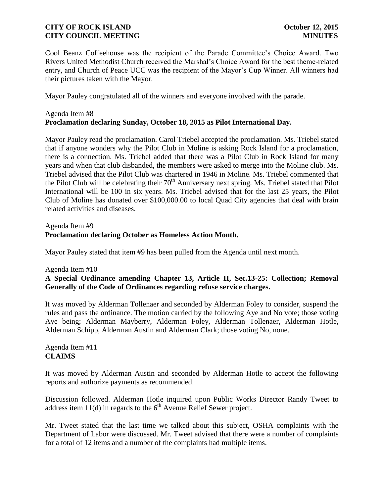Cool Beanz Coffeehouse was the recipient of the Parade Committee's Choice Award. Two Rivers United Methodist Church received the Marshal's Choice Award for the best theme-related entry, and Church of Peace UCC was the recipient of the Mayor's Cup Winner. All winners had their pictures taken with the Mayor.

Mayor Pauley congratulated all of the winners and everyone involved with the parade.

# Agenda Item #8 **Proclamation declaring Sunday, October 18, 2015 as Pilot International Day.**

Mayor Pauley read the proclamation. Carol Triebel accepted the proclamation. Ms. Triebel stated that if anyone wonders why the Pilot Club in Moline is asking Rock Island for a proclamation, there is a connection. Ms. Triebel added that there was a Pilot Club in Rock Island for many years and when that club disbanded, the members were asked to merge into the Moline club. Ms. Triebel advised that the Pilot Club was chartered in 1946 in Moline. Ms. Triebel commented that the Pilot Club will be celebrating their  $70<sup>th</sup>$  Anniversary next spring. Ms. Triebel stated that Pilot International will be 100 in six years. Ms. Triebel advised that for the last 25 years, the Pilot Club of Moline has donated over \$100,000.00 to local Quad City agencies that deal with brain related activities and diseases.

## Agenda Item #9 **Proclamation declaring October as Homeless Action Month.**

Mayor Pauley stated that item #9 has been pulled from the Agenda until next month.

### Agenda Item #10

# **A Special Ordinance amending Chapter 13, Article II, Sec.13-25: Collection; Removal Generally of the Code of Ordinances regarding refuse service charges.**

It was moved by Alderman Tollenaer and seconded by Alderman Foley to consider, suspend the rules and pass the ordinance. The motion carried by the following Aye and No vote; those voting Aye being; Alderman Mayberry, Alderman Foley, Alderman Tollenaer, Alderman Hotle, Alderman Schipp, Alderman Austin and Alderman Clark; those voting No, none.

Agenda Item #11 **CLAIMS**

It was moved by Alderman Austin and seconded by Alderman Hotle to accept the following reports and authorize payments as recommended.

Discussion followed. Alderman Hotle inquired upon Public Works Director Randy Tweet to address item  $11(d)$  in regards to the  $6<sup>th</sup>$  Avenue Relief Sewer project.

Mr. Tweet stated that the last time we talked about this subject, OSHA complaints with the Department of Labor were discussed. Mr. Tweet advised that there were a number of complaints for a total of 12 items and a number of the complaints had multiple items.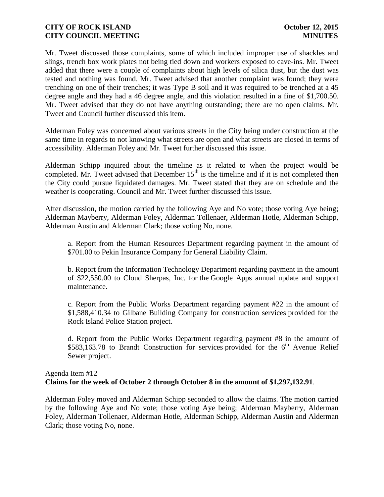Mr. Tweet discussed those complaints, some of which included improper use of shackles and slings, trench box work plates not being tied down and workers exposed to cave-ins. Mr. Tweet added that there were a couple of complaints about high levels of silica dust, but the dust was tested and nothing was found. Mr. Tweet advised that another complaint was found; they were trenching on one of their trenches; it was Type B soil and it was required to be trenched at a 45 degree angle and they had a 46 degree angle, and this violation resulted in a fine of \$1,700.50. Mr. Tweet advised that they do not have anything outstanding; there are no open claims. Mr. Tweet and Council further discussed this item.

Alderman Foley was concerned about various streets in the City being under construction at the same time in regards to not knowing what streets are open and what streets are closed in terms of accessibility. Alderman Foley and Mr. Tweet further discussed this issue.

Alderman Schipp inquired about the timeline as it related to when the project would be completed. Mr. Tweet advised that December  $15<sup>th</sup>$  is the timeline and if it is not completed then the City could pursue liquidated damages. Mr. Tweet stated that they are on schedule and the weather is cooperating. Council and Mr. Tweet further discussed this issue.

After discussion, the motion carried by the following Aye and No vote; those voting Aye being; Alderman Mayberry, Alderman Foley, Alderman Tollenaer, Alderman Hotle, Alderman Schipp, Alderman Austin and Alderman Clark; those voting No, none.

a. Report from the Human Resources Department regarding payment in the amount of \$701.00 to Pekin Insurance Company for General Liability Claim.

b. Report from the Information Technology Department regarding payment in the amount of \$22,550.00 to Cloud Sherpas, Inc. for the Google Apps annual update and support maintenance.

c. Report from the Public Works Department regarding payment #22 in the amount of \$1,588,410.34 to Gilbane Building Company for construction services provided for the Rock Island Police Station project.

d. Report from the Public Works Department regarding payment #8 in the amount of  $$583,163.78$  to Brandt Construction for services provided for the  $6<sup>th</sup>$  Avenue Relief Sewer project.

### Agenda Item #12 **Claims for the week of October 2 through October 8 in the amount of \$1,297,132.91**.

Alderman Foley moved and Alderman Schipp seconded to allow the claims. The motion carried by the following Aye and No vote; those voting Aye being; Alderman Mayberry, Alderman Foley, Alderman Tollenaer, Alderman Hotle, Alderman Schipp, Alderman Austin and Alderman Clark; those voting No, none.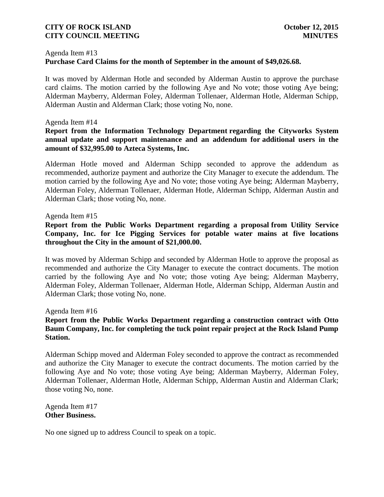#### Agenda Item #13

# **Purchase Card Claims for the month of September in the amount of \$49,026.68.**

It was moved by Alderman Hotle and seconded by Alderman Austin to approve the purchase card claims. The motion carried by the following Aye and No vote; those voting Aye being; Alderman Mayberry, Alderman Foley, Alderman Tollenaer, Alderman Hotle, Alderman Schipp, Alderman Austin and Alderman Clark; those voting No, none.

#### Agenda Item #14

## **Report from the Information Technology Department regarding the Cityworks System annual update and support maintenance and an addendum for additional users in the amount of \$32,995.00 to Azteca Systems, Inc.**

Alderman Hotle moved and Alderman Schipp seconded to approve the addendum as recommended, authorize payment and authorize the City Manager to execute the addendum. The motion carried by the following Aye and No vote; those voting Aye being; Alderman Mayberry, Alderman Foley, Alderman Tollenaer, Alderman Hotle, Alderman Schipp, Alderman Austin and Alderman Clark; those voting No, none.

#### Agenda Item #15

# **Report from the Public Works Department regarding a proposal from Utility Service Company, Inc. for Ice Pigging Services for potable water mains at five locations throughout the City in the amount of \$21,000.00.**

It was moved by Alderman Schipp and seconded by Alderman Hotle to approve the proposal as recommended and authorize the City Manager to execute the contract documents. The motion carried by the following Aye and No vote; those voting Aye being; Alderman Mayberry, Alderman Foley, Alderman Tollenaer, Alderman Hotle, Alderman Schipp, Alderman Austin and Alderman Clark; those voting No, none.

#### Agenda Item #16

# **Report from the Public Works Department regarding a construction contract with Otto Baum Company, Inc. for completing the tuck point repair project at the Rock Island Pump Station.**

Alderman Schipp moved and Alderman Foley seconded to approve the contract as recommended and authorize the City Manager to execute the contract documents. The motion carried by the following Aye and No vote; those voting Aye being; Alderman Mayberry, Alderman Foley, Alderman Tollenaer, Alderman Hotle, Alderman Schipp, Alderman Austin and Alderman Clark; those voting No, none.

Agenda Item #17 **Other Business.**

No one signed up to address Council to speak on a topic.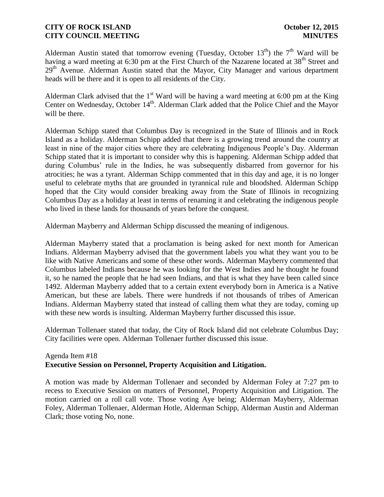Alderman Austin stated that tomorrow evening (Tuesday, October 13<sup>th</sup>) the 7<sup>th</sup> Ward will be having a ward meeting at 6:30 pm at the First Church of the Nazarene located at  $38<sup>th</sup>$  Street and  $29<sup>th</sup>$  Avenue. Alderman Austin stated that the Mayor, City Manager and various department heads will be there and it is open to all residents of the City.

Alderman Clark advised that the  $1<sup>st</sup>$  Ward will be having a ward meeting at 6:00 pm at the King Center on Wednesday, October 14<sup>th</sup>. Alderman Clark added that the Police Chief and the Mayor will be there.

Alderman Schipp stated that Columbus Day is recognized in the State of Illinois and in Rock Island as a holiday. Alderman Schipp added that there is a growing trend around the country at least in nine of the major cities where they are celebrating Indigenous People's Day. Alderman Schipp stated that it is important to consider why this is happening. Alderman Schipp added that during Columbus' rule in the Indies, he was subsequently disbarred from governor for his atrocities; he was a tyrant. Alderman Schipp commented that in this day and age, it is no longer useful to celebrate myths that are grounded in tyrannical rule and bloodshed. Alderman Schipp hoped that the City would consider breaking away from the State of Illinois in recognizing Columbus Day as a holiday at least in terms of renaming it and celebrating the indigenous people who lived in these lands for thousands of years before the conquest.

Alderman Mayberry and Alderman Schipp discussed the meaning of indigenous.

Alderman Mayberry stated that a proclamation is being asked for next month for American Indians. Alderman Mayberry advised that the government labels you what they want you to be like with Native Americans and some of these other words. Alderman Mayberry commented that Columbus labeled Indians because he was looking for the West Indies and he thought he found it, so he named the people that he had seen Indians, and that is what they have been called since 1492. Alderman Mayberry added that to a certain extent everybody born in America is a Native American, but these are labels. There were hundreds if not thousands of tribes of American Indians. Alderman Mayberry stated that instead of calling them what they are today, coming up with these new words is insulting. Alderman Mayberry further discussed this issue.

Alderman Tollenaer stated that today, the City of Rock Island did not celebrate Columbus Day; City facilities were open. Alderman Tollenaer further discussed this issue.

# Agenda Item #18 **Executive Session on Personnel, Property Acquisition and Litigation.**

A motion was made by Alderman Tollenaer and seconded by Alderman Foley at 7:27 pm to recess to Executive Session on matters of Personnel, Property Acquisition and Litigation. The motion carried on a roll call vote. Those voting Aye being; Alderman Mayberry, Alderman Foley, Alderman Tollenaer, Alderman Hotle, Alderman Schipp, Alderman Austin and Alderman Clark; those voting No, none.